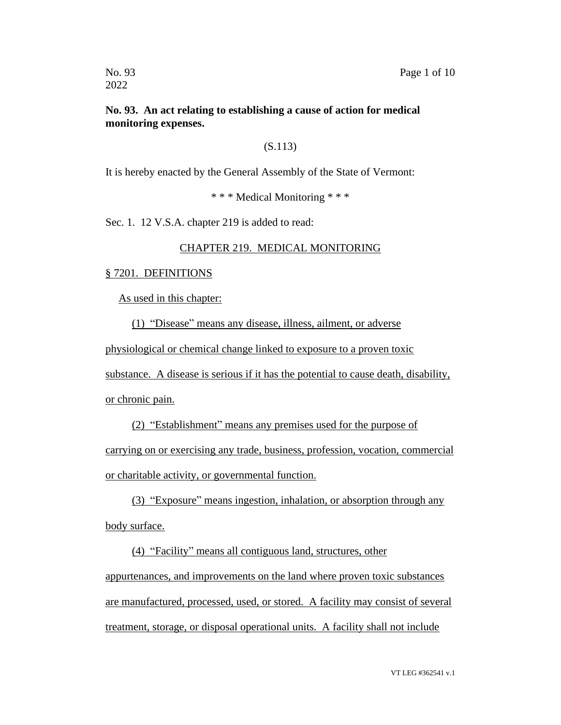## **No. 93. An act relating to establishing a cause of action for medical monitoring expenses.**

## (S.113)

It is hereby enacted by the General Assembly of the State of Vermont:

\* \* \* Medical Monitoring \* \* \*

Sec. 1. 12 V.S.A. chapter 219 is added to read:

## CHAPTER 219. MEDICAL MONITORING

## § 7201. DEFINITIONS

As used in this chapter:

(1) "Disease" means any disease, illness, ailment, or adverse

physiological or chemical change linked to exposure to a proven toxic

substance. A disease is serious if it has the potential to cause death, disability,

or chronic pain.

(2) "Establishment" means any premises used for the purpose of carrying on or exercising any trade, business, profession, vocation, commercial or charitable activity, or governmental function.

(3) "Exposure" means ingestion, inhalation, or absorption through any body surface.

(4) "Facility" means all contiguous land, structures, other appurtenances, and improvements on the land where proven toxic substances are manufactured, processed, used, or stored. A facility may consist of several treatment, storage, or disposal operational units. A facility shall not include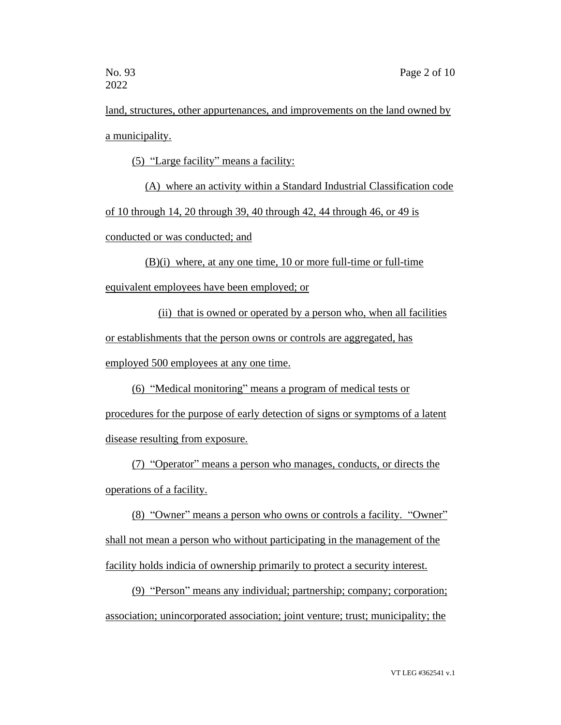land, structures, other appurtenances, and improvements on the land owned by a municipality.

(5) "Large facility" means a facility:

(A) where an activity within a Standard Industrial Classification code of 10 through 14, 20 through 39, 40 through 42, 44 through 46, or 49 is conducted or was conducted; and

(B)(i) where, at any one time, 10 or more full-time or full-time equivalent employees have been employed; or

(ii) that is owned or operated by a person who, when all facilities or establishments that the person owns or controls are aggregated, has employed 500 employees at any one time.

(6) "Medical monitoring" means a program of medical tests or

procedures for the purpose of early detection of signs or symptoms of a latent disease resulting from exposure.

(7) "Operator" means a person who manages, conducts, or directs the operations of a facility.

(8) "Owner" means a person who owns or controls a facility. "Owner" shall not mean a person who without participating in the management of the facility holds indicia of ownership primarily to protect a security interest.

(9) "Person" means any individual; partnership; company; corporation; association; unincorporated association; joint venture; trust; municipality; the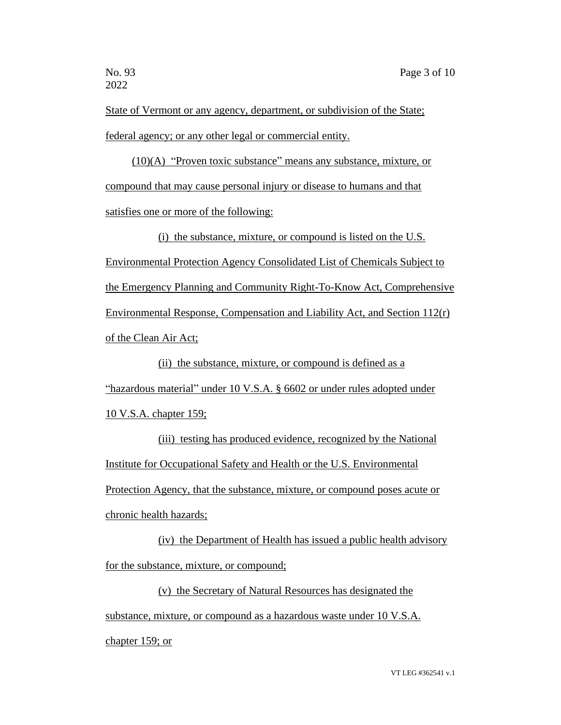State of Vermont or any agency, department, or subdivision of the State; federal agency; or any other legal or commercial entity.

(10)(A) "Proven toxic substance" means any substance, mixture, or compound that may cause personal injury or disease to humans and that satisfies one or more of the following:

(i) the substance, mixture, or compound is listed on the U.S. Environmental Protection Agency Consolidated List of Chemicals Subject to the Emergency Planning and Community Right-To-Know Act, Comprehensive Environmental Response, Compensation and Liability Act, and Section 112(r) of the Clean Air Act;

(ii) the substance, mixture, or compound is defined as a "hazardous material" under 10 V.S.A. § 6602 or under rules adopted under 10 V.S.A. chapter 159;

(iii) testing has produced evidence, recognized by the National Institute for Occupational Safety and Health or the U.S. Environmental Protection Agency, that the substance, mixture, or compound poses acute or chronic health hazards;

(iv) the Department of Health has issued a public health advisory for the substance, mixture, or compound;

(v) the Secretary of Natural Resources has designated the substance, mixture, or compound as a hazardous waste under 10 V.S.A. chapter 159; or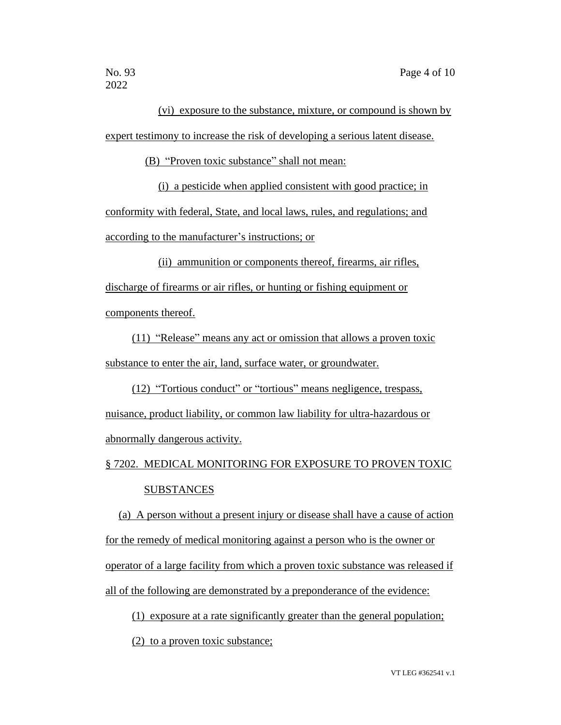(vi) exposure to the substance, mixture, or compound is shown by expert testimony to increase the risk of developing a serious latent disease.

(B) "Proven toxic substance" shall not mean:

(i) a pesticide when applied consistent with good practice; in conformity with federal, State, and local laws, rules, and regulations; and according to the manufacturer's instructions; or

(ii) ammunition or components thereof, firearms, air rifles, discharge of firearms or air rifles, or hunting or fishing equipment or components thereof.

(11) "Release" means any act or omission that allows a proven toxic substance to enter the air, land, surface water, or groundwater.

(12) "Tortious conduct" or "tortious" means negligence, trespass, nuisance, product liability, or common law liability for ultra-hazardous or abnormally dangerous activity.

§ 7202. MEDICAL MONITORING FOR EXPOSURE TO PROVEN TOXIC **SUBSTANCES** 

(a) A person without a present injury or disease shall have a cause of action for the remedy of medical monitoring against a person who is the owner or operator of a large facility from which a proven toxic substance was released if all of the following are demonstrated by a preponderance of the evidence:

(1) exposure at a rate significantly greater than the general population;

(2) to a proven toxic substance;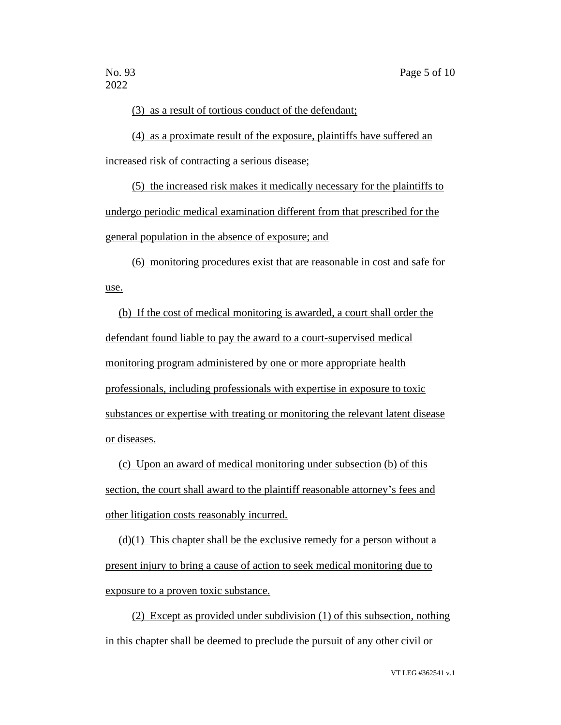(3) as a result of tortious conduct of the defendant;

(4) as a proximate result of the exposure, plaintiffs have suffered an increased risk of contracting a serious disease;

(5) the increased risk makes it medically necessary for the plaintiffs to undergo periodic medical examination different from that prescribed for the general population in the absence of exposure; and

(6) monitoring procedures exist that are reasonable in cost and safe for use.

(b) If the cost of medical monitoring is awarded, a court shall order the defendant found liable to pay the award to a court-supervised medical monitoring program administered by one or more appropriate health professionals, including professionals with expertise in exposure to toxic substances or expertise with treating or monitoring the relevant latent disease or diseases.

(c) Upon an award of medical monitoring under subsection (b) of this section, the court shall award to the plaintiff reasonable attorney's fees and other litigation costs reasonably incurred.

 $(d)(1)$  This chapter shall be the exclusive remedy for a person without a present injury to bring a cause of action to seek medical monitoring due to exposure to a proven toxic substance.

(2) Except as provided under subdivision (1) of this subsection, nothing in this chapter shall be deemed to preclude the pursuit of any other civil or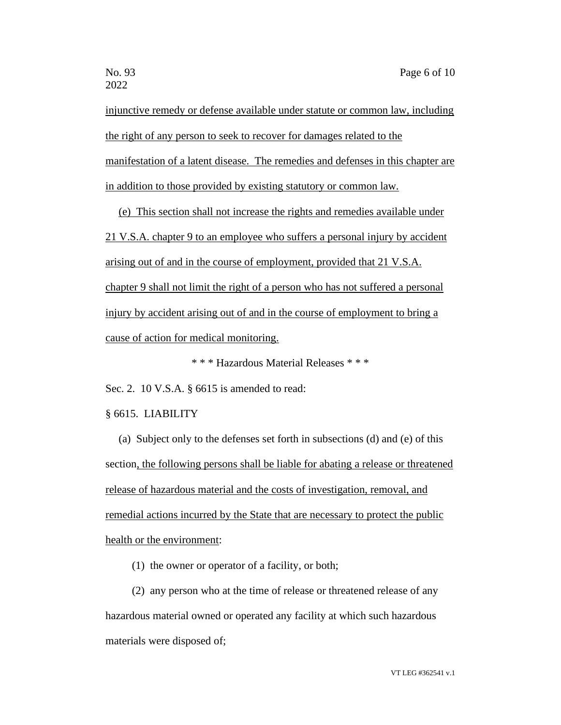injunctive remedy or defense available under statute or common law, including the right of any person to seek to recover for damages related to the manifestation of a latent disease. The remedies and defenses in this chapter are in addition to those provided by existing statutory or common law.

(e) This section shall not increase the rights and remedies available under 21 V.S.A. chapter 9 to an employee who suffers a personal injury by accident arising out of and in the course of employment, provided that 21 V.S.A. chapter 9 shall not limit the right of a person who has not suffered a personal injury by accident arising out of and in the course of employment to bring a cause of action for medical monitoring.

\* \* \* Hazardous Material Releases \* \* \*

Sec. 2. 10 V.S.A. § 6615 is amended to read:

§ 6615. LIABILITY

(a) Subject only to the defenses set forth in subsections (d) and (e) of this section, the following persons shall be liable for abating a release or threatened release of hazardous material and the costs of investigation, removal, and remedial actions incurred by the State that are necessary to protect the public health or the environment:

(1) the owner or operator of a facility, or both;

(2) any person who at the time of release or threatened release of any hazardous material owned or operated any facility at which such hazardous materials were disposed of;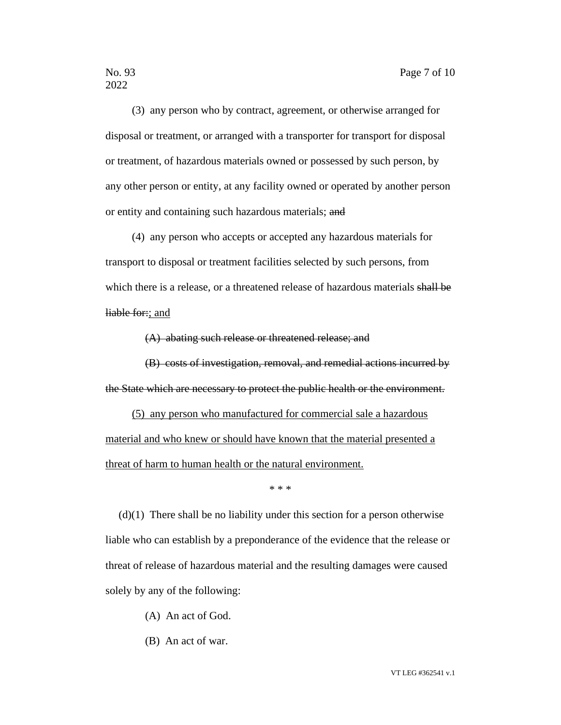(3) any person who by contract, agreement, or otherwise arranged for disposal or treatment, or arranged with a transporter for transport for disposal or treatment, of hazardous materials owned or possessed by such person, by any other person or entity, at any facility owned or operated by another person or entity and containing such hazardous materials; and

(4) any person who accepts or accepted any hazardous materials for transport to disposal or treatment facilities selected by such persons, from which there is a release, or a threatened release of hazardous materials shall be liable for:; and

(A) abating such release or threatened release; and

(B) costs of investigation, removal, and remedial actions incurred by the State which are necessary to protect the public health or the environment.

(5) any person who manufactured for commercial sale a hazardous material and who knew or should have known that the material presented a threat of harm to human health or the natural environment.

\* \* \*

(d)(1) There shall be no liability under this section for a person otherwise liable who can establish by a preponderance of the evidence that the release or threat of release of hazardous material and the resulting damages were caused solely by any of the following:

- (A) An act of God.
- (B) An act of war.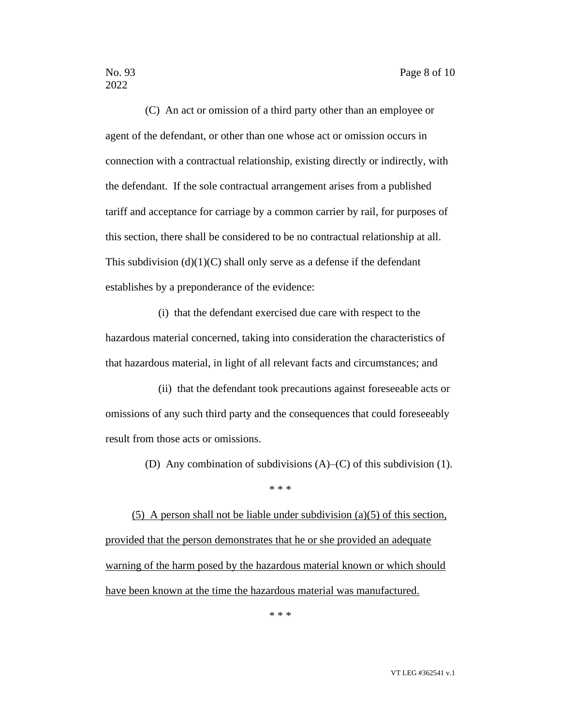(C) An act or omission of a third party other than an employee or agent of the defendant, or other than one whose act or omission occurs in connection with a contractual relationship, existing directly or indirectly, with the defendant. If the sole contractual arrangement arises from a published tariff and acceptance for carriage by a common carrier by rail, for purposes of this section, there shall be considered to be no contractual relationship at all. This subdivision  $(d)(1)(C)$  shall only serve as a defense if the defendant establishes by a preponderance of the evidence:

(i) that the defendant exercised due care with respect to the hazardous material concerned, taking into consideration the characteristics of that hazardous material, in light of all relevant facts and circumstances; and

(ii) that the defendant took precautions against foreseeable acts or omissions of any such third party and the consequences that could foreseeably result from those acts or omissions.

(D) Any combination of subdivisions (A)–(C) of this subdivision (1).

\* \* \*

(5) A person shall not be liable under subdivision (a)(5) of this section, provided that the person demonstrates that he or she provided an adequate warning of the harm posed by the hazardous material known or which should have been known at the time the hazardous material was manufactured.

\* \* \*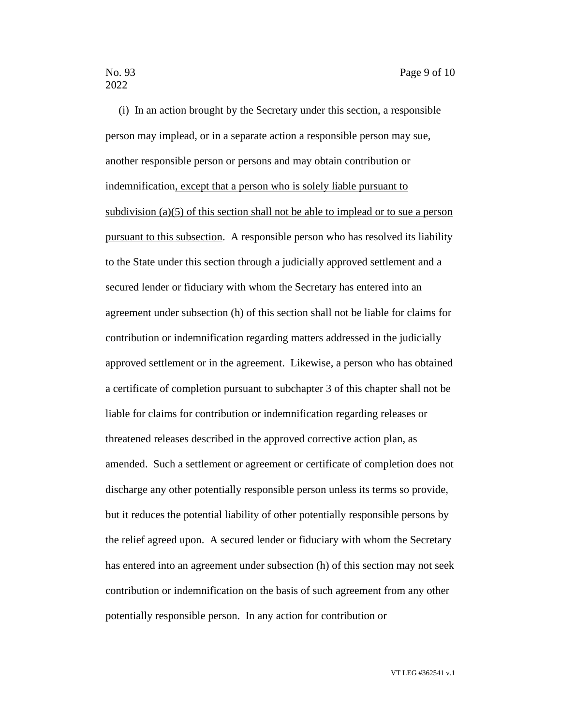(i) In an action brought by the Secretary under this section, a responsible person may implead, or in a separate action a responsible person may sue, another responsible person or persons and may obtain contribution or indemnification, except that a person who is solely liable pursuant to subdivision (a)(5) of this section shall not be able to implead or to sue a person pursuant to this subsection. A responsible person who has resolved its liability to the State under this section through a judicially approved settlement and a secured lender or fiduciary with whom the Secretary has entered into an agreement under subsection (h) of this section shall not be liable for claims for contribution or indemnification regarding matters addressed in the judicially approved settlement or in the agreement. Likewise, a person who has obtained a certificate of completion pursuant to subchapter 3 of this chapter shall not be liable for claims for contribution or indemnification regarding releases or threatened releases described in the approved corrective action plan, as amended. Such a settlement or agreement or certificate of completion does not discharge any other potentially responsible person unless its terms so provide, but it reduces the potential liability of other potentially responsible persons by the relief agreed upon. A secured lender or fiduciary with whom the Secretary has entered into an agreement under subsection (h) of this section may not seek contribution or indemnification on the basis of such agreement from any other potentially responsible person. In any action for contribution or